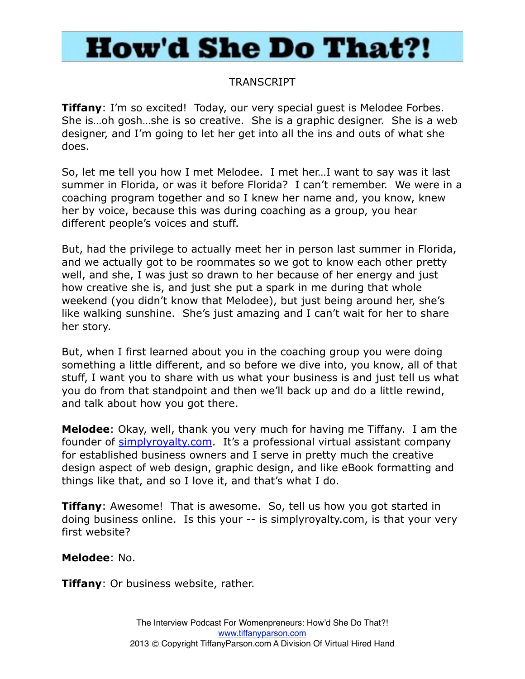### TRANSCRIPT

**Tiffany**: I'm so excited! Today, our very special quest is Melodee Forbes. She is…oh gosh…she is so creative. She is a graphic designer. She is a web designer, and I'm going to let her get into all the ins and outs of what she does.

So, let me tell you how I met Melodee. I met her…I want to say was it last summer in Florida, or was it before Florida? I can't remember. We were in a coaching program together and so I knew her name and, you know, knew her by voice, because this was during coaching as a group, you hear different people's voices and stuff.

But, had the privilege to actually meet her in person last summer in Florida, and we actually got to be roommates so we got to know each other pretty well, and she, I was just so drawn to her because of her energy and just how creative she is, and just she put a spark in me during that whole weekend (you didn't know that Melodee), but just being around her, she's like walking sunshine. She's just amazing and I can't wait for her to share her story.

But, when I first learned about you in the coaching group you were doing something a little different, and so before we dive into, you know, all of that stuff, I want you to share with us what your business is and just tell us what you do from that standpoint and then we'll back up and do a little rewind, and talk about how you got there.

**Melodee**: Okay, well, thank you very much for having me Tiffany. I am the founder of [simplyroyalty.com](http://simplyroyalty.com/). It's a professional virtual assistant company for established business owners and I serve in pretty much the creative design aspect of web design, graphic design, and like eBook formatting and things like that, and so I love it, and that's what I do.

**Tiffany**: Awesome! That is awesome. So, tell us how you got started in doing business online. Is this your -- is simplyroyalty.com, is that your very first website?

#### **Melodee**: No.

**Tiffany**: Or business website, rather.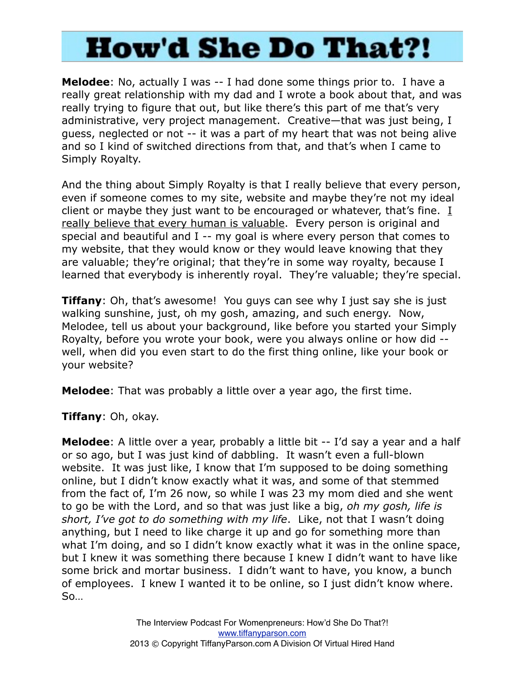**Melodee**: No, actually I was -- I had done some things prior to. I have a really great relationship with my dad and I wrote a book about that, and was really trying to figure that out, but like there's this part of me that's very administrative, very project management. Creative—that was just being, I guess, neglected or not -- it was a part of my heart that was not being alive and so I kind of switched directions from that, and that's when I came to Simply Royalty.

And the thing about Simply Royalty is that I really believe that every person, even if someone comes to my site, website and maybe they're not my ideal client or maybe they just want to be encouraged or whatever, that's fine. I really believe that every human is valuable. Every person is original and special and beautiful and I -- my goal is where every person that comes to my website, that they would know or they would leave knowing that they are valuable; they're original; that they're in some way royalty, because I learned that everybody is inherently royal. They're valuable; they're special.

**Tiffany**: Oh, that's awesome! You guys can see why I just say she is just walking sunshine, just, oh my gosh, amazing, and such energy. Now, Melodee, tell us about your background, like before you started your Simply Royalty, before you wrote your book, were you always online or how did - well, when did you even start to do the first thing online, like your book or your website?

**Melodee**: That was probably a little over a year ago, the first time.

**Tiffany**: Oh, okay.

**Melodee**: A little over a year, probably a little bit -- I'd say a year and a half or so ago, but I was just kind of dabbling. It wasn't even a full-blown website. It was just like, I know that I'm supposed to be doing something online, but I didn't know exactly what it was, and some of that stemmed from the fact of, I'm 26 now, so while I was 23 my mom died and she went to go be with the Lord, and so that was just like a big, *oh my gosh, life is short, I've got to do something with my life*. Like, not that I wasn't doing anything, but I need to like charge it up and go for something more than what I'm doing, and so I didn't know exactly what it was in the online space, but I knew it was something there because I knew I didn't want to have like some brick and mortar business. I didn't want to have, you know, a bunch of employees. I knew I wanted it to be online, so I just didn't know where. So…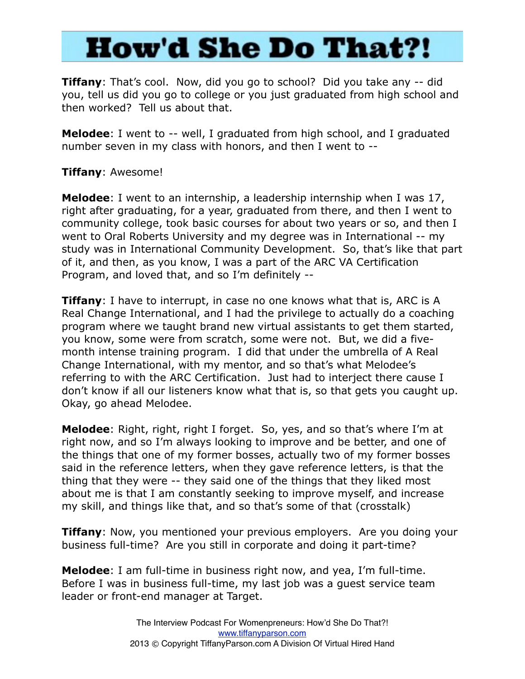**Tiffany**: That's cool. Now, did you go to school? Did you take any -- did you, tell us did you go to college or you just graduated from high school and then worked? Tell us about that.

**Melodee**: I went to -- well, I graduated from high school, and I graduated number seven in my class with honors, and then I went to --

### **Tiffany**: Awesome!

**Melodee**: I went to an internship, a leadership internship when I was 17, right after graduating, for a year, graduated from there, and then I went to community college, took basic courses for about two years or so, and then I went to Oral Roberts University and my degree was in International -- my study was in International Community Development. So, that's like that part of it, and then, as you know, I was a part of the ARC VA Certification Program, and loved that, and so I'm definitely --

**Tiffany**: I have to interrupt, in case no one knows what that is, ARC is A Real Change International, and I had the privilege to actually do a coaching program where we taught brand new virtual assistants to get them started, you know, some were from scratch, some were not. But, we did a fivemonth intense training program. I did that under the umbrella of A Real Change International, with my mentor, and so that's what Melodee's referring to with the ARC Certification. Just had to interject there cause I don't know if all our listeners know what that is, so that gets you caught up. Okay, go ahead Melodee.

**Melodee**: Right, right, right I forget. So, yes, and so that's where I'm at right now, and so I'm always looking to improve and be better, and one of the things that one of my former bosses, actually two of my former bosses said in the reference letters, when they gave reference letters, is that the thing that they were -- they said one of the things that they liked most about me is that I am constantly seeking to improve myself, and increase my skill, and things like that, and so that's some of that (crosstalk)

**Tiffany**: Now, you mentioned your previous employers. Are you doing your business full-time? Are you still in corporate and doing it part-time?

**Melodee**: I am full-time in business right now, and yea, I'm full-time. Before I was in business full-time, my last job was a guest service team leader or front-end manager at Target.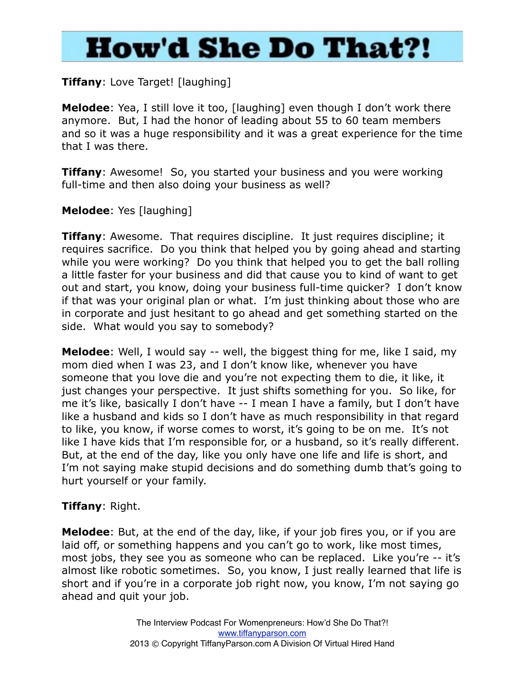### **Tiffany**: Love Target! [laughing]

**Melodee**: Yea, I still love it too, [laughing] even though I don't work there anymore. But, I had the honor of leading about 55 to 60 team members and so it was a huge responsibility and it was a great experience for the time that I was there.

**Tiffany**: Awesome! So, you started your business and you were working full-time and then also doing your business as well?

### **Melodee**: Yes [laughing]

**Tiffany**: Awesome. That requires discipline. It just requires discipline; it requires sacrifice. Do you think that helped you by going ahead and starting while you were working? Do you think that helped you to get the ball rolling a little faster for your business and did that cause you to kind of want to get out and start, you know, doing your business full-time quicker? I don't know if that was your original plan or what. I'm just thinking about those who are in corporate and just hesitant to go ahead and get something started on the side. What would you say to somebody?

**Melodee**: Well, I would say -- well, the biggest thing for me, like I said, my mom died when I was 23, and I don't know like, whenever you have someone that you love die and you're not expecting them to die, it like, it just changes your perspective. It just shifts something for you. So like, for me it's like, basically I don't have -- I mean I have a family, but I don't have like a husband and kids so I don't have as much responsibility in that regard to like, you know, if worse comes to worst, it's going to be on me. It's not like I have kids that I'm responsible for, or a husband, so it's really different. But, at the end of the day, like you only have one life and life is short, and I'm not saying make stupid decisions and do something dumb that's going to hurt yourself or your family.

#### **Tiffany**: Right.

**Melodee**: But, at the end of the day, like, if your job fires you, or if you are laid off, or something happens and you can't go to work, like most times, most jobs, they see you as someone who can be replaced. Like you're -- it's almost like robotic sometimes. So, you know, I just really learned that life is short and if you're in a corporate job right now, you know, I'm not saying go ahead and quit your job.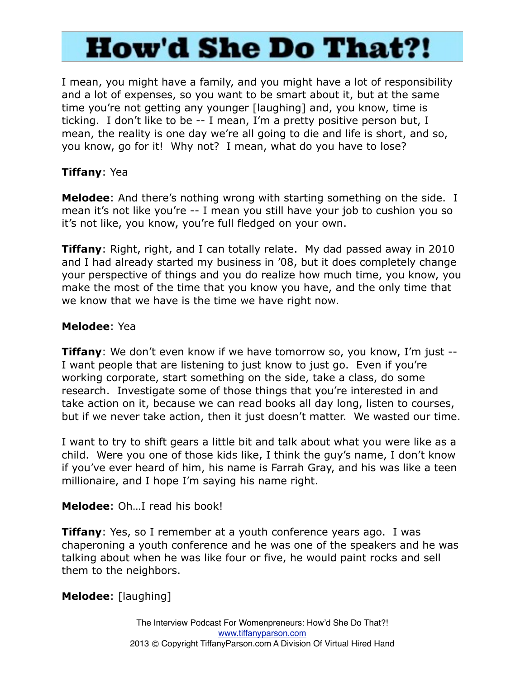I mean, you might have a family, and you might have a lot of responsibility and a lot of expenses, so you want to be smart about it, but at the same time you're not getting any younger [laughing] and, you know, time is ticking. I don't like to be -- I mean, I'm a pretty positive person but, I mean, the reality is one day we're all going to die and life is short, and so, you know, go for it! Why not? I mean, what do you have to lose?

### **Tiffany**: Yea

**Melodee**: And there's nothing wrong with starting something on the side. I mean it's not like you're -- I mean you still have your job to cushion you so it's not like, you know, you're full fledged on your own.

**Tiffany**: Right, right, and I can totally relate. My dad passed away in 2010 and I had already started my business in '08, but it does completely change your perspective of things and you do realize how much time, you know, you make the most of the time that you know you have, and the only time that we know that we have is the time we have right now.

### **Melodee**: Yea

**Tiffany**: We don't even know if we have tomorrow so, you know, I'm just --I want people that are listening to just know to just go. Even if you're working corporate, start something on the side, take a class, do some research. Investigate some of those things that you're interested in and take action on it, because we can read books all day long, listen to courses, but if we never take action, then it just doesn't matter. We wasted our time.

I want to try to shift gears a little bit and talk about what you were like as a child. Were you one of those kids like, I think the guy's name, I don't know if you've ever heard of him, his name is Farrah Gray, and his was like a teen millionaire, and I hope I'm saying his name right.

### **Melodee**: Oh…I read his book!

**Tiffany**: Yes, so I remember at a youth conference years ago. I was chaperoning a youth conference and he was one of the speakers and he was talking about when he was like four or five, he would paint rocks and sell them to the neighbors.

### **Melodee**: [laughing]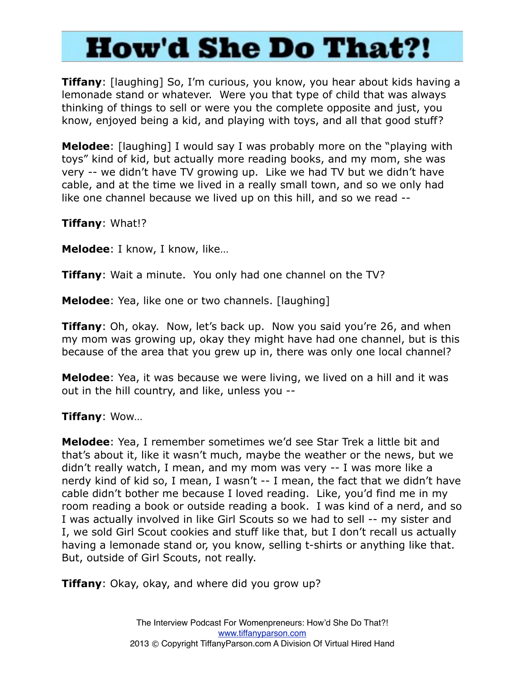**Tiffany**: [laughing] So, I'm curious, you know, you hear about kids having a lemonade stand or whatever. Were you that type of child that was always thinking of things to sell or were you the complete opposite and just, you know, enjoyed being a kid, and playing with toys, and all that good stuff?

**Melodee**: [laughing] I would say I was probably more on the "playing with toys" kind of kid, but actually more reading books, and my mom, she was very -- we didn't have TV growing up. Like we had TV but we didn't have cable, and at the time we lived in a really small town, and so we only had like one channel because we lived up on this hill, and so we read --

**Tiffany**: What!?

**Melodee**: I know, I know, like…

**Tiffany**: Wait a minute. You only had one channel on the TV?

**Melodee**: Yea, like one or two channels. [laughing]

**Tiffany**: Oh, okay. Now, let's back up. Now you said you're 26, and when my mom was growing up, okay they might have had one channel, but is this because of the area that you grew up in, there was only one local channel?

**Melodee**: Yea, it was because we were living, we lived on a hill and it was out in the hill country, and like, unless you --

#### **Tiffany**: Wow…

**Melodee**: Yea, I remember sometimes we'd see Star Trek a little bit and that's about it, like it wasn't much, maybe the weather or the news, but we didn't really watch, I mean, and my mom was very -- I was more like a nerdy kind of kid so, I mean, I wasn't -- I mean, the fact that we didn't have cable didn't bother me because I loved reading. Like, you'd find me in my room reading a book or outside reading a book. I was kind of a nerd, and so I was actually involved in like Girl Scouts so we had to sell -- my sister and I, we sold Girl Scout cookies and stuff like that, but I don't recall us actually having a lemonade stand or, you know, selling t-shirts or anything like that. But, outside of Girl Scouts, not really.

**Tiffany**: Okay, okay, and where did you grow up?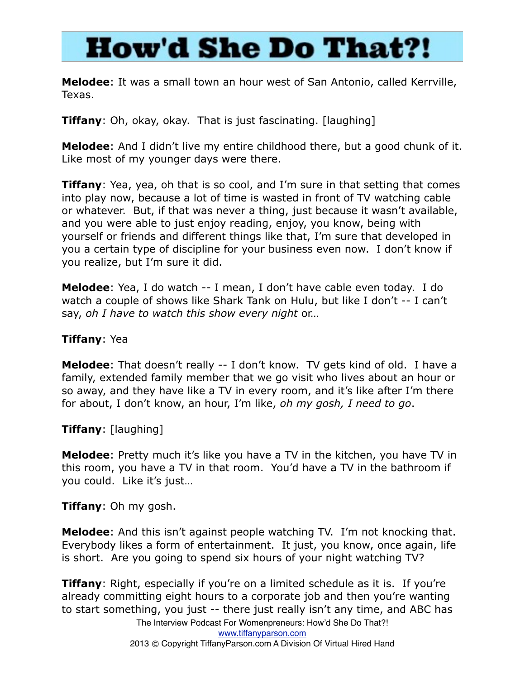**Melodee**: It was a small town an hour west of San Antonio, called Kerrville, Texas.

**Tiffany**: Oh, okay, okay. That is just fascinating. [laughing]

**Melodee**: And I didn't live my entire childhood there, but a good chunk of it. Like most of my younger days were there.

**Tiffany**: Yea, yea, oh that is so cool, and I'm sure in that setting that comes into play now, because a lot of time is wasted in front of TV watching cable or whatever. But, if that was never a thing, just because it wasn't available, and you were able to just enjoy reading, enjoy, you know, being with yourself or friends and different things like that, I'm sure that developed in you a certain type of discipline for your business even now. I don't know if you realize, but I'm sure it did.

**Melodee**: Yea, I do watch -- I mean, I don't have cable even today. I do watch a couple of shows like Shark Tank on Hulu, but like I don't -- I can't say, *oh I have to watch this show every night* or…

#### **Tiffany**: Yea

**Melodee**: That doesn't really -- I don't know. TV gets kind of old. I have a family, extended family member that we go visit who lives about an hour or so away, and they have like a TV in every room, and it's like after I'm there for about, I don't know, an hour, I'm like, *oh my gosh, I need to go*.

**Tiffany**: [laughing]

**Melodee**: Pretty much it's like you have a TV in the kitchen, you have TV in this room, you have a TV in that room. You'd have a TV in the bathroom if you could. Like it's just…

**Tiffany**: Oh my gosh.

**Melodee**: And this isn't against people watching TV. I'm not knocking that. Everybody likes a form of entertainment. It just, you know, once again, life is short. Are you going to spend six hours of your night watching TV?

**Tiffany**: Right, especially if you're on a limited schedule as it is. If you're already committing eight hours to a corporate job and then you're wanting to start something, you just -- there just really isn't any time, and ABC has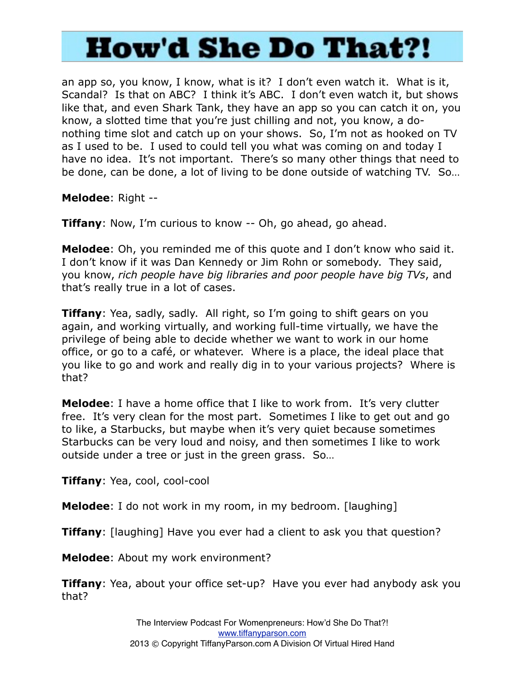an app so, you know, I know, what is it? I don't even watch it. What is it, Scandal? Is that on ABC? I think it's ABC. I don't even watch it, but shows like that, and even Shark Tank, they have an app so you can catch it on, you know, a slotted time that you're just chilling and not, you know, a donothing time slot and catch up on your shows. So, I'm not as hooked on TV as I used to be. I used to could tell you what was coming on and today I have no idea. It's not important. There's so many other things that need to be done, can be done, a lot of living to be done outside of watching TV. So…

**Melodee**: Right --

**Tiffany**: Now, I'm curious to know -- Oh, go ahead, go ahead.

**Melodee**: Oh, you reminded me of this quote and I don't know who said it. I don't know if it was Dan Kennedy or Jim Rohn or somebody. They said, you know, *rich people have big libraries and poor people have big TVs*, and that's really true in a lot of cases.

**Tiffany**: Yea, sadly, sadly. All right, so I'm going to shift gears on you again, and working virtually, and working full-time virtually, we have the privilege of being able to decide whether we want to work in our home office, or go to a café, or whatever. Where is a place, the ideal place that you like to go and work and really dig in to your various projects? Where is that?

**Melodee**: I have a home office that I like to work from. It's very clutter free. It's very clean for the most part. Sometimes I like to get out and go to like, a Starbucks, but maybe when it's very quiet because sometimes Starbucks can be very loud and noisy, and then sometimes I like to work outside under a tree or just in the green grass. So…

**Tiffany**: Yea, cool, cool-cool

**Melodee**: I do not work in my room, in my bedroom. [laughing]

**Tiffany**: [laughing] Have you ever had a client to ask you that question?

**Melodee**: About my work environment?

**Tiffany**: Yea, about your office set-up? Have you ever had anybody ask you that?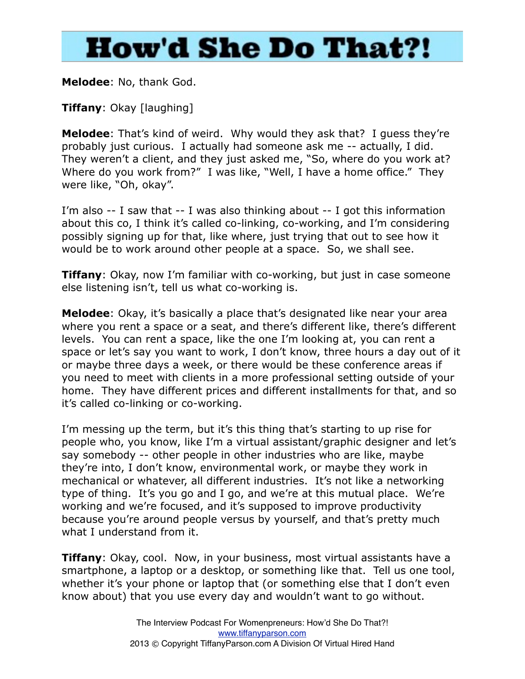#### **Melodee**: No, thank God.

**Tiffany**: Okay [laughing]

**Melodee**: That's kind of weird. Why would they ask that? I guess they're probably just curious. I actually had someone ask me -- actually, I did. They weren't a client, and they just asked me, "So, where do you work at? Where do you work from?" I was like, "Well, I have a home office." They were like, "Oh, okay".

I'm also -- I saw that -- I was also thinking about -- I got this information about this co, I think it's called co-linking, co-working, and I'm considering possibly signing up for that, like where, just trying that out to see how it would be to work around other people at a space. So, we shall see.

**Tiffany**: Okay, now I'm familiar with co-working, but just in case someone else listening isn't, tell us what co-working is.

**Melodee**: Okay, it's basically a place that's designated like near your area where you rent a space or a seat, and there's different like, there's different levels. You can rent a space, like the one I'm looking at, you can rent a space or let's say you want to work, I don't know, three hours a day out of it or maybe three days a week, or there would be these conference areas if you need to meet with clients in a more professional setting outside of your home. They have different prices and different installments for that, and so it's called co-linking or co-working.

I'm messing up the term, but it's this thing that's starting to up rise for people who, you know, like I'm a virtual assistant/graphic designer and let's say somebody -- other people in other industries who are like, maybe they're into, I don't know, environmental work, or maybe they work in mechanical or whatever, all different industries. It's not like a networking type of thing. It's you go and I go, and we're at this mutual place. We're working and we're focused, and it's supposed to improve productivity because you're around people versus by yourself, and that's pretty much what I understand from it.

**Tiffany**: Okay, cool. Now, in your business, most virtual assistants have a smartphone, a laptop or a desktop, or something like that. Tell us one tool, whether it's your phone or laptop that (or something else that I don't even know about) that you use every day and wouldn't want to go without.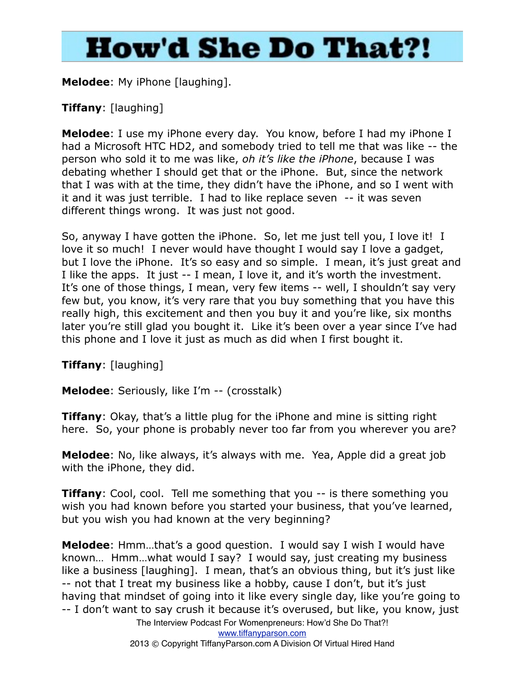**Melodee**: My iPhone [laughing].

### **Tiffany**: [laughing]

**Melodee**: I use my iPhone every day. You know, before I had my iPhone I had a Microsoft HTC HD2, and somebody tried to tell me that was like -- the person who sold it to me was like, *oh it's like the iPhone*, because I was debating whether I should get that or the iPhone. But, since the network that I was with at the time, they didn't have the iPhone, and so I went with it and it was just terrible. I had to like replace seven -- it was seven different things wrong. It was just not good.

So, anyway I have gotten the iPhone. So, let me just tell you, I love it! I love it so much! I never would have thought I would say I love a gadget, but I love the iPhone. It's so easy and so simple. I mean, it's just great and I like the apps. It just -- I mean, I love it, and it's worth the investment. It's one of those things, I mean, very few items -- well, I shouldn't say very few but, you know, it's very rare that you buy something that you have this really high, this excitement and then you buy it and you're like, six months later you're still glad you bought it. Like it's been over a year since I've had this phone and I love it just as much as did when I first bought it.

**Tiffany**: [laughing]

**Melodee**: Seriously, like I'm -- (crosstalk)

**Tiffany**: Okay, that's a little plug for the iPhone and mine is sitting right here. So, your phone is probably never too far from you wherever you are?

**Melodee**: No, like always, it's always with me. Yea, Apple did a great job with the iPhone, they did.

**Tiffany**: Cool, cool. Tell me something that you -- is there something you wish you had known before you started your business, that you've learned, but you wish you had known at the very beginning?

**Melodee**: Hmm…that's a good question. I would say I wish I would have known… Hmm…what would I say? I would say, just creating my business like a business [laughing]. I mean, that's an obvious thing, but it's just like -- not that I treat my business like a hobby, cause I don't, but it's just having that mindset of going into it like every single day, like you're going to -- I don't want to say crush it because it's overused, but like, you know, just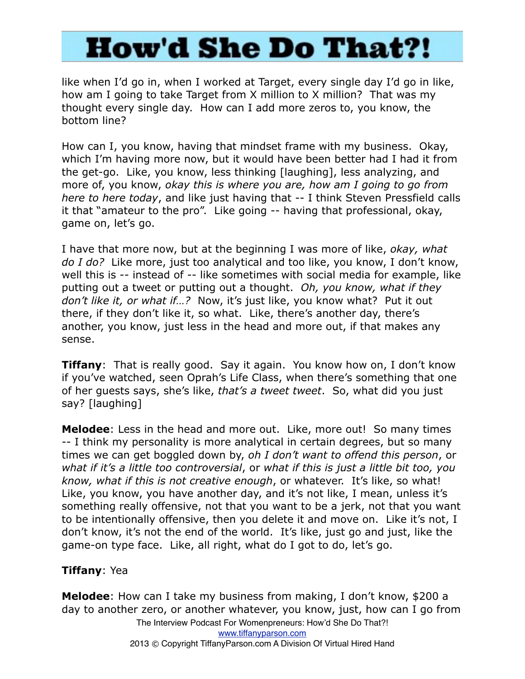like when I'd go in, when I worked at Target, every single day I'd go in like, how am I going to take Target from X million to X million? That was my thought every single day. How can I add more zeros to, you know, the bottom line?

How can I, you know, having that mindset frame with my business. Okay, which I'm having more now, but it would have been better had I had it from the get-go. Like, you know, less thinking [laughing], less analyzing, and more of, you know, *okay this is where you are, how am I going to go from here to here today*, and like just having that -- I think Steven Pressfield calls it that "amateur to the pro". Like going -- having that professional, okay, game on, let's go.

I have that more now, but at the beginning I was more of like, *okay, what do I do?* Like more, just too analytical and too like, you know, I don't know, well this is -- instead of -- like sometimes with social media for example, like putting out a tweet or putting out a thought. *Oh, you know, what if they don't like it, or what if…?* Now, it's just like, you know what? Put it out there, if they don't like it, so what. Like, there's another day, there's another, you know, just less in the head and more out, if that makes any sense.

**Tiffany**: That is really good. Say it again. You know how on, I don't know if you've watched, seen Oprah's Life Class, when there's something that one of her guests says, she's like, *that's a tweet tweet*. So, what did you just say? [laughing]

**Melodee**: Less in the head and more out. Like, more out! So many times -- I think my personality is more analytical in certain degrees, but so many times we can get boggled down by, *oh I don't want to offend this person*, or *what if it's a little too controversial*, or *what if this is just a little bit too, you know, what if this is not creative enough*, or whatever. It's like, so what! Like, you know, you have another day, and it's not like, I mean, unless it's something really offensive, not that you want to be a jerk, not that you want to be intentionally offensive, then you delete it and move on. Like it's not, I don't know, it's not the end of the world. It's like, just go and just, like the game-on type face. Like, all right, what do I got to do, let's go.

#### **Tiffany**: Yea

**Melodee**: How can I take my business from making, I don't know, \$200 a day to another zero, or another whatever, you know, just, how can I go from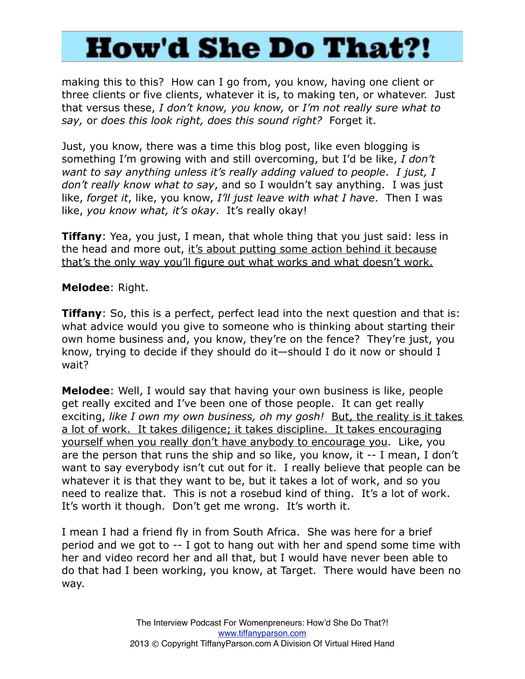making this to this? How can I go from, you know, having one client or three clients or five clients, whatever it is, to making ten, or whatever. Just that versus these, *I don't know, you know,* or *I'm not really sure what to say,* or *does this look right, does this sound right?* Forget it.

Just, you know, there was a time this blog post, like even blogging is something I'm growing with and still overcoming, but I'd be like, *I don't want to say anything unless it's really adding valued to people*. *I just, I don't really know what to say*, and so I wouldn't say anything. I was just like, *forget it*, like, you know, *I'll just leave with what I have*. Then I was like, *you know what, it's okay*. It's really okay!

**Tiffany**: Yea, you just, I mean, that whole thing that you just said: less in the head and more out, it's about putting some action behind it because that's the only way you'll figure out what works and what doesn't work.

#### **Melodee**: Right.

**Tiffany**: So, this is a perfect, perfect lead into the next question and that is: what advice would you give to someone who is thinking about starting their own home business and, you know, they're on the fence? They're just, you know, trying to decide if they should do it—should I do it now or should I wait?

**Melodee**: Well, I would say that having your own business is like, people get really excited and I've been one of those people. It can get really exciting, like I own my own business, oh my gosh! But, the reality is it takes a lot of work. It takes diligence; it takes discipline. It takes encouraging yourself when you really don't have anybody to encourage you. Like, you are the person that runs the ship and so like, you know, it -- I mean, I don't want to say everybody isn't cut out for it. I really believe that people can be whatever it is that they want to be, but it takes a lot of work, and so you need to realize that. This is not a rosebud kind of thing. It's a lot of work. It's worth it though. Don't get me wrong. It's worth it.

I mean I had a friend fly in from South Africa. She was here for a brief period and we got to -- I got to hang out with her and spend some time with her and video record her and all that, but I would have never been able to do that had I been working, you know, at Target. There would have been no way.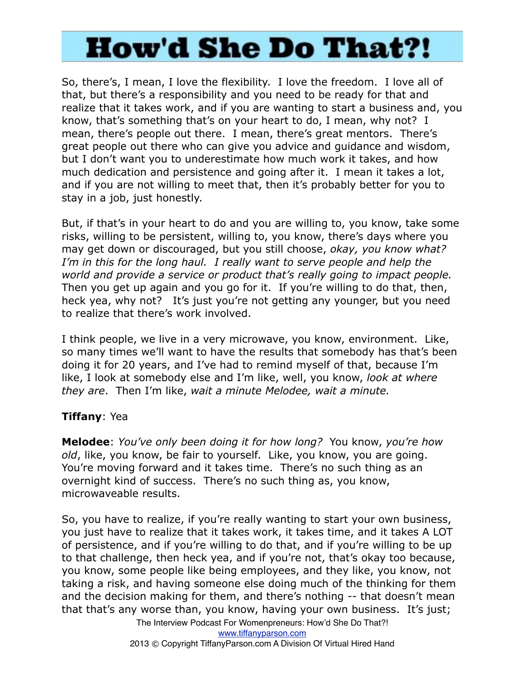So, there's, I mean, I love the flexibility. I love the freedom. I love all of that, but there's a responsibility and you need to be ready for that and realize that it takes work, and if you are wanting to start a business and, you know, that's something that's on your heart to do, I mean, why not? I mean, there's people out there. I mean, there's great mentors. There's great people out there who can give you advice and guidance and wisdom, but I don't want you to underestimate how much work it takes, and how much dedication and persistence and going after it. I mean it takes a lot, and if you are not willing to meet that, then it's probably better for you to stay in a job, just honestly.

But, if that's in your heart to do and you are willing to, you know, take some risks, willing to be persistent, willing to, you know, there's days where you may get down or discouraged, but you still choose, *okay, you know what? I'm in this for the long haul. I really want to serve people and help the world and provide a service or product that's really going to impact people.* Then you get up again and you go for it. If you're willing to do that, then, heck yea, why not? It's just you're not getting any younger, but you need to realize that there's work involved.

I think people, we live in a very microwave, you know, environment. Like, so many times we'll want to have the results that somebody has that's been doing it for 20 years, and I've had to remind myself of that, because I'm like, I look at somebody else and I'm like, well, you know, *look at where they are*. Then I'm like, *wait a minute Melodee, wait a minute.*

### **Tiffany**: Yea

**Melodee**: *You've only been doing it for how long?* You know, *you're how old*, like, you know, be fair to yourself. Like, you know, you are going. You're moving forward and it takes time. There's no such thing as an overnight kind of success. There's no such thing as, you know, microwaveable results.

So, you have to realize, if you're really wanting to start your own business, you just have to realize that it takes work, it takes time, and it takes A LOT of persistence, and if you're willing to do that, and if you're willing to be up to that challenge, then heck yea, and if you're not, that's okay too because, you know, some people like being employees, and they like, you know, not taking a risk, and having someone else doing much of the thinking for them and the decision making for them, and there's nothing -- that doesn't mean that that's any worse than, you know, having your own business. It's just;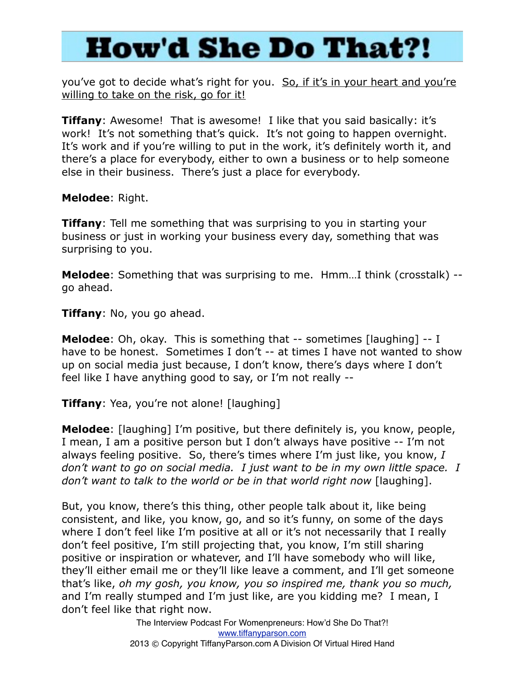you've got to decide what's right for you. So, if it's in your heart and you're willing to take on the risk, go for it!

**Tiffany**: Awesome! That is awesome! I like that you said basically: it's work! It's not something that's quick. It's not going to happen overnight. It's work and if you're willing to put in the work, it's definitely worth it, and there's a place for everybody, either to own a business or to help someone else in their business. There's just a place for everybody.

**Melodee**: Right.

**Tiffany**: Tell me something that was surprising to you in starting your business or just in working your business every day, something that was surprising to you.

**Melodee**: Something that was surprising to me. Hmm…I think (crosstalk) - go ahead.

**Tiffany**: No, you go ahead.

**Melodee**: Oh, okay. This is something that -- sometimes [laughing] -- I have to be honest. Sometimes I don't -- at times I have not wanted to show up on social media just because, I don't know, there's days where I don't feel like I have anything good to say, or I'm not really --

**Tiffany**: Yea, you're not alone! [laughing]

**Melodee**: [laughing] I'm positive, but there definitely is, you know, people, I mean, I am a positive person but I don't always have positive -- I'm not always feeling positive. So, there's times where I'm just like, you know, *I don't want to go on social media. I just want to be in my own little space. I don't want to talk to the world or be in that world right now* [laughing].

But, you know, there's this thing, other people talk about it, like being consistent, and like, you know, go, and so it's funny, on some of the days where I don't feel like I'm positive at all or it's not necessarily that I really don't feel positive, I'm still projecting that, you know, I'm still sharing positive or inspiration or whatever, and I'll have somebody who will like, they'll either email me or they'll like leave a comment, and I'll get someone that's like, *oh my gosh, you know, you so inspired me, thank you so much,* and I'm really stumped and I'm just like, are you kidding me? I mean, I don't feel like that right now.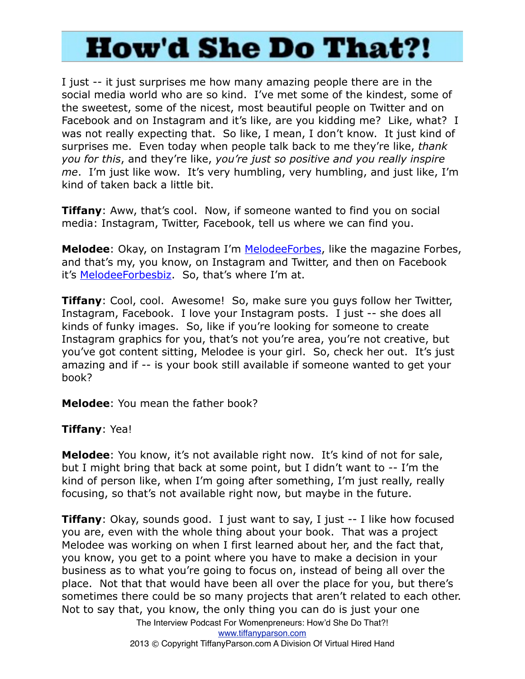I just -- it just surprises me how many amazing people there are in the social media world who are so kind. I've met some of the kindest, some of the sweetest, some of the nicest, most beautiful people on Twitter and on Facebook and on Instagram and it's like, are you kidding me? Like, what? I was not really expecting that. So like, I mean, I don't know. It just kind of surprises me. Even today when people talk back to me they're like, *thank you for this*, and they're like, *you're just so positive and you really inspire me*. I'm just like wow. It's very humbling, very humbling, and just like, I'm kind of taken back a little bit.

**Tiffany**: Aww, that's cool. Now, if someone wanted to find you on social media: Instagram, Twitter, Facebook, tell us where we can find you.

**Melodee**: Okay, on Instagram I'm [MelodeeForbes,](http://Instagram.com/MelodeeForbes) like the magazine Forbes, and that's my, you know, on Instagram and Twitter, and then on Facebook it's [MelodeeForbesbiz.](https://www.facebook.com/MelodeeForbesBiz) So, that's where I'm at.

**Tiffany**: Cool, cool. Awesome! So, make sure you guys follow her Twitter, Instagram, Facebook. I love your Instagram posts. I just -- she does all kinds of funky images. So, like if you're looking for someone to create Instagram graphics for you, that's not you're area, you're not creative, but you've got content sitting, Melodee is your girl. So, check her out. It's just amazing and if -- is your book still available if someone wanted to get your book?

**Melodee**: You mean the father book?

#### **Tiffany**: Yea!

**Melodee**: You know, it's not available right now. It's kind of not for sale, but I might bring that back at some point, but I didn't want to -- I'm the kind of person like, when I'm going after something, I'm just really, really focusing, so that's not available right now, but maybe in the future.

**Tiffany**: Okay, sounds good. I just want to say, I just -- I like how focused you are, even with the whole thing about your book. That was a project Melodee was working on when I first learned about her, and the fact that, you know, you get to a point where you have to make a decision in your business as to what you're going to focus on, instead of being all over the place. Not that that would have been all over the place for you, but there's sometimes there could be so many projects that aren't related to each other. Not to say that, you know, the only thing you can do is just your one